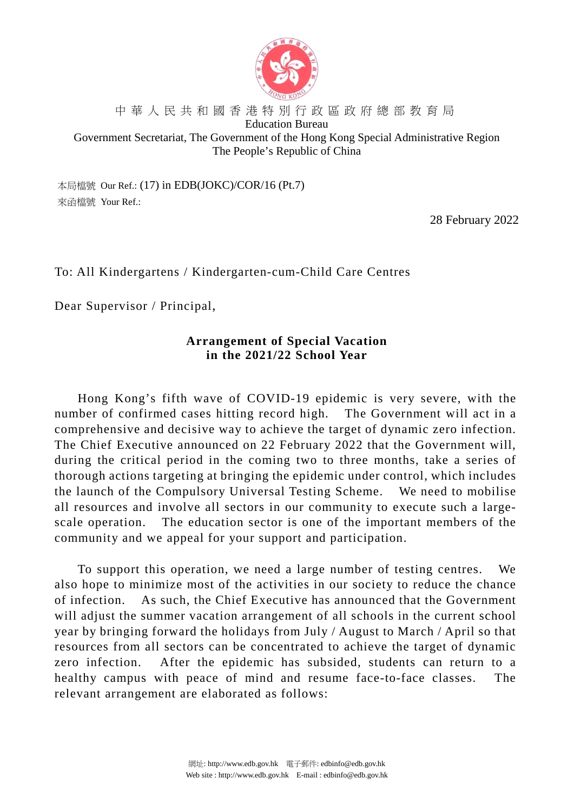

#### 中華人民共和國香港特別行政區政府總部教育局 Education Bureau Government Secretariat, The Government of the Hong Kong Special Administrative Region The People's Republic of China

本局檔號 Our Ref.: (17) in EDB(JOKC)/COR/16 (Pt.7) 來函檔號 Your Ref.:

28 February 2022

To: All Kindergartens / Kindergarten-cum-Child Care Centres

Dear Supervisor / Principal,

# **Arrangement of Special Vacation in the 2021/22 School Year**

Hong Kong's fifth wave of COVID-19 epidemic is very severe, with the number of confirmed cases hitting record high. The Government will act in a comprehensive and decisive way to achieve the target of dynamic zero infection. The Chief Executive announced on 22 February 2022 that the Government will, during the critical period in the coming two to three months, take a series of thorough actions targeting at bringing the epidemic under control, which includes the launch of the Compulsory Universal Testing Scheme. We need to mobilise all resources and involve all sectors in our community to execute such a largescale operation. The education sector is one of the important members of the community and we appeal for your support and participation.

To support this operation, we need a large number of testing centres. We also hope to minimize most of the activities in our society to reduce the chance of infection. As such, the Chief Executive has announced that the Government will adjust the summer vacation arrangement of all schools in the current school year by bringing forward the holidays from July / August to March / April so that resources from all sectors can be concentrated to achieve the target of dynamic zero infection. After the epidemic has subsided, students can return to a healthy campus with peace of mind and resume face-to-face classes. The relevant arrangement are elaborated as follows: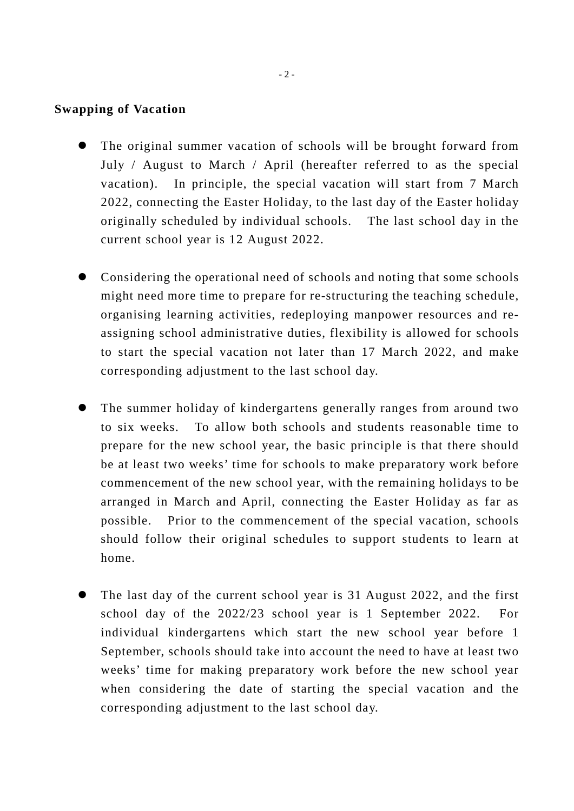### **Swapping of Vacation**

- The original summer vacation of schools will be brought forward from July / August to March / April (hereafter referred to as the special vacation). In principle, the special vacation will start from 7 March 2022, connecting the Easter Holiday, to the last day of the Easter holiday originally scheduled by individual schools. The last school day in the current school year is 12 August 2022.
- Considering the operational need of schools and noting that some schools might need more time to prepare for re-structuring the teaching schedule, organising learning activities, redeploying manpower resources and reassigning school administrative duties, flexibility is allowed for schools to start the special vacation not later than 17 March 2022, and make corresponding adjustment to the last school day.
- The summer holiday of kindergartens generally ranges from around two to six weeks. To allow both schools and students reasonable time to prepare for the new school year, the basic principle is that there should be at least two weeks' time for schools to make preparatory work before commencement of the new school year, with the remaining holidays to be arranged in March and April, connecting the Easter Holiday as far as possible. Prior to the commencement of the special vacation, schools should follow their original schedules to support students to learn at home.
- The last day of the current school year is 31 August 2022, and the first school day of the 2022/23 school year is 1 September 2022. For individual kindergartens which start the new school year before 1 September, schools should take into account the need to have at least two weeks' time for making preparatory work before the new school year when considering the date of starting the special vacation and the corresponding adjustment to the last school day.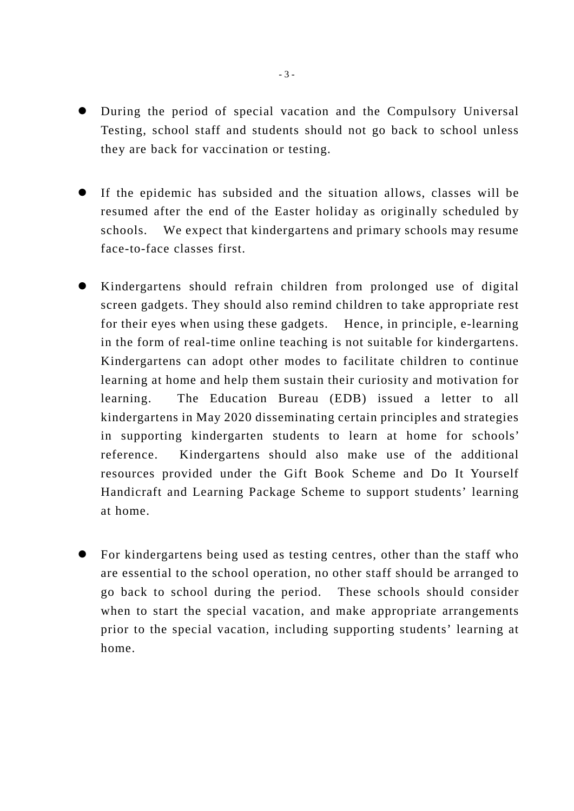- During the period of special vacation and the Compulsory Universal Testing, school staff and students should not go back to school unless they are back for vaccination or testing.
- If the epidemic has subsided and the situation allows, classes will be resumed after the end of the Easter holiday as originally scheduled by schools. We expect that kindergartens and primary schools may resume face-to-face classes first.
- Kindergartens should refrain children from prolonged use of digital screen gadgets. They should also remind children to take appropriate rest for their eyes when using these gadgets. Hence, in principle, e-learning in the form of real-time online teaching is not suitable for kindergartens. Kindergartens can adopt other modes to facilitate children to continue learning at home and help them sustain their curiosity and motivation for learning. The Education Bureau (EDB) issued a letter to all kindergartens in May 2020 disseminating certain principles and strategies in supporting kindergarten students to learn at home for schools' reference. Kindergartens should also make use of the additional resources provided under the Gift Book Scheme and Do It Yourself Handicraft and Learning Package Scheme to support students' learning at home.
- For kindergartens being used as testing centres, other than the staff who are essential to the school operation, no other staff should be arranged to go back to school during the period. These schools should consider when to start the special vacation, and make appropriate arrangements prior to the special vacation, including supporting students' learning at home.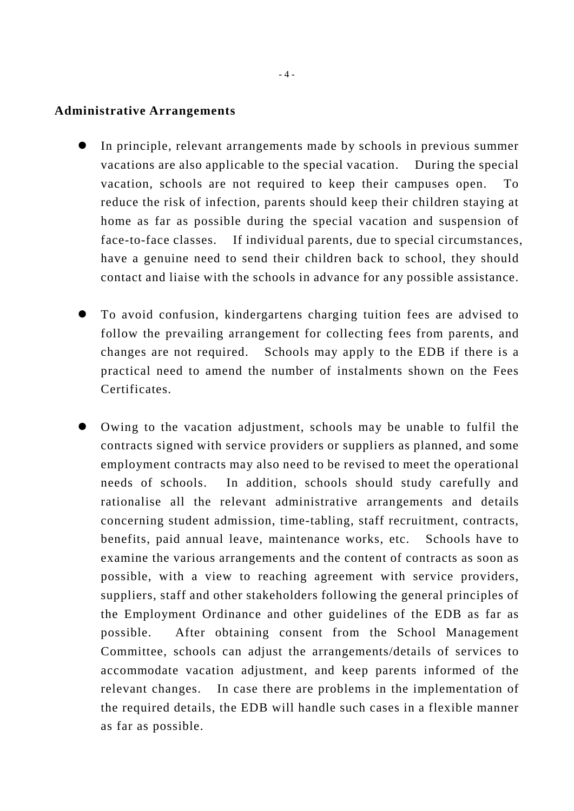#### **Administrative Arrangements**

- In principle, relevant arrangements made by schools in previous summer vacations are also applicable to the special vacation. During the special vacation, schools are not required to keep their campuses open. To reduce the risk of infection, parents should keep their children staying at home as far as possible during the special vacation and suspension of face-to-face classes. If individual parents, due to special circumstances, have a genuine need to send their children back to school, they should contact and liaise with the schools in advance for any possible assistance.
- To avoid confusion, kindergartens charging tuition fees are advised to follow the prevailing arrangement for collecting fees from parents, and changes are not required. Schools may apply to the EDB if there is a practical need to amend the number of instalments shown on the Fees Certificates.
- Owing to the vacation adjustment, schools may be unable to fulfil the contracts signed with service providers or suppliers as planned, and some employment contracts may also need to be revised to meet the operational needs of schools. In addition, schools should study carefully and rationalise all the relevant administrative arrangements and details concerning student admission, time-tabling, staff recruitment, contracts, benefits, paid annual leave, maintenance works, etc. Schools have to examine the various arrangements and the content of contracts as soon as possible, with a view to reaching agreement with service providers, suppliers, staff and other stakeholders following the general principles of the Employment Ordinance and other guidelines of the EDB as far as possible. After obtaining consent from the School Management Committee, schools can adjust the arrangements/details of services to accommodate vacation adjustment, and keep parents informed of the relevant changes. In case there are problems in the implementation of the required details, the EDB will handle such cases in a flexible manner as far as possible.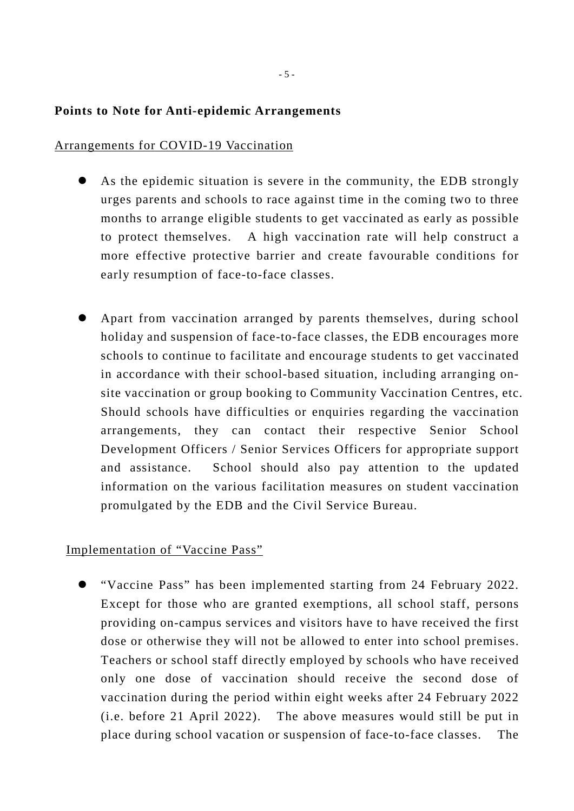## **Points to Note for Anti-epidemic Arrangements**

### Arrangements for COVID-19 Vaccination

- As the epidemic situation is severe in the community, the EDB strongly urges parents and schools to race against time in the coming two to three months to arrange eligible students to get vaccinated as early as possible to protect themselves. A high vaccination rate will help construct a more effective protective barrier and create favourable conditions for early resumption of face-to-face classes.
- Apart from vaccination arranged by parents themselves, during school holiday and suspension of face-to-face classes, the EDB encourages more schools to continue to facilitate and encourage students to get vaccinated in accordance with their school-based situation, including arranging onsite vaccination or group booking to Community Vaccination Centres, etc. Should schools have difficulties or enquiries regarding the vaccination arrangements, they can contact their respective Senior School Development Officers / Senior Services Officers for appropriate support and assistance. School should also pay attention to the updated information on the various facilitation measures on student vaccination promulgated by the EDB and the Civil Service Bureau.

### Implementation of "Vaccine Pass"

 "Vaccine Pass" has been implemented starting from 24 February 2022. Except for those who are granted exemptions, all school staff, persons providing on-campus services and visitors have to have received the first dose or otherwise they will not be allowed to enter into school premises. Teachers or school staff directly employed by schools who have received only one dose of vaccination should receive the second dose of vaccination during the period within eight weeks after 24 February 2022 (i.e. before 21 April 2022). The above measures would still be put in place during school vacation or suspension of face-to-face classes. The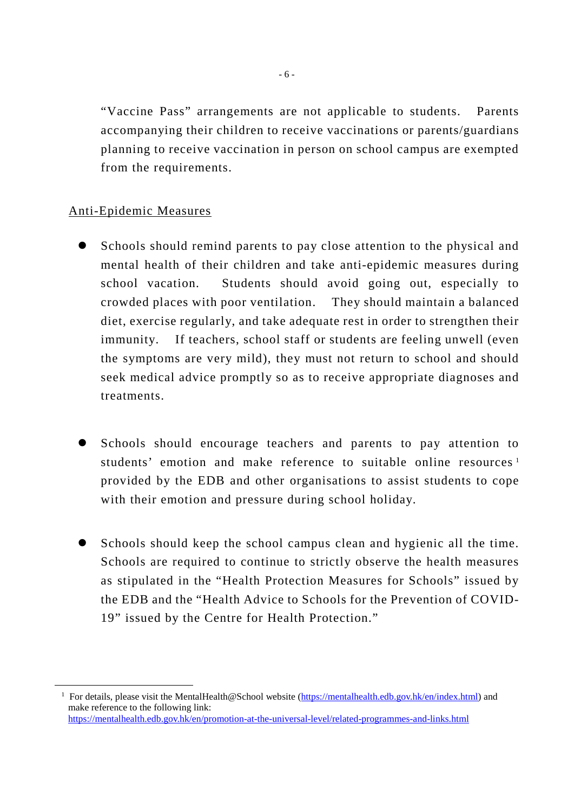"Vaccine Pass" arrangements are not applicable to students. Parents accompanying their children to receive vaccinations or parents/guardians planning to receive vaccination in person on school campus are exempted from the requirements.

# Anti-Epidemic Measures

- Schools should remind parents to pay close attention to the physical and mental health of their children and take anti-epidemic measures during school vacation. Students should avoid going out, especially to crowded places with poor ventilation. They should maintain a balanced diet, exercise regularly, and take adequate rest in order to strengthen their immunity. If teachers, school staff or students are feeling unwell (even the symptoms are very mild), they must not return to school and should seek medical advice promptly so as to receive appropriate diagnoses and treatments.
- Schools should encourage teachers and parents to pay attention to students' emotion and make reference to suitable online resources<sup>[1](#page-5-0)</sup> provided by the EDB and other organisations to assist students to cope with their emotion and pressure during school holiday.
- Schools should keep the school campus clean and hygienic all the time. Schools are required to continue to strictly observe the health measures as stipulated in the "Health Protection Measures for Schools" issued by the EDB and the "Health Advice to Schools for the Prevention of COVID-19" issued by the Centre for Health Protection."

<span id="page-5-0"></span><sup>&</sup>lt;sup>1</sup> For details, please visit the MentalHealth@School website [\(https://mentalhealth.edb.gov.hk/en/index.html\)](https://mentalhealth.edb.gov.hk/en/index.html) and make reference to the following link: <https://mentalhealth.edb.gov.hk/en/promotion-at-the-universal-level/related-programmes-and-links.html>